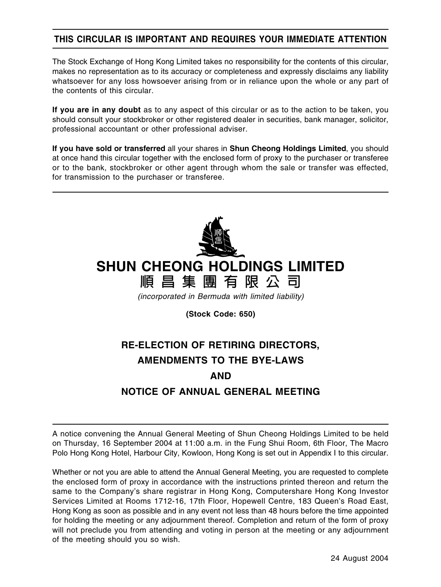## **THIS CIRCULAR IS IMPORTANT AND REQUIRES YOUR IMMEDIATE ATTENTION**

The Stock Exchange of Hong Kong Limited takes no responsibility for the contents of this circular, makes no representation as to its accuracy or completeness and expressly disclaims any liability whatsoever for any loss howsoever arising from or in reliance upon the whole or any part of the contents of this circular.

**If you are in any doubt** as to any aspect of this circular or as to the action to be taken, you should consult your stockbroker or other registered dealer in securities, bank manager, solicitor, professional accountant or other professional adviser.

**If you have sold or transferred** all your shares in **Shun Cheong Holdings Limited**, you should at once hand this circular together with the enclosed form of proxy to the purchaser or transferee or to the bank, stockbroker or other agent through whom the sale or transfer was effected, for transmission to the purchaser or transferee.



# **SHUN CHEONG HOLDINGS LIMITED**

**順昌集團有限公司**

(incorporated in Bermuda with limited liability)

**(Stock Code: 650)**

# **RE-ELECTION OF RETIRING DIRECTORS, AMENDMENTS TO THE BYE-LAWS AND NOTICE OF ANNUAL GENERAL MEETING**

A notice convening the Annual General Meeting of Shun Cheong Holdings Limited to be held on Thursday, 16 September 2004 at 11:00 a.m. in the Fung Shui Room, 6th Floor, The Macro Polo Hong Kong Hotel, Harbour City, Kowloon, Hong Kong is set out in Appendix I to this circular.

Whether or not you are able to attend the Annual General Meeting, you are requested to complete the enclosed form of proxy in accordance with the instructions printed thereon and return the same to the Company's share registrar in Hong Kong, Computershare Hong Kong Investor Services Limited at Rooms 1712-16, 17th Floor, Hopewell Centre, 183 Queen's Road East, Hong Kong as soon as possible and in any event not less than 48 hours before the time appointed for holding the meeting or any adjournment thereof. Completion and return of the form of proxy will not preclude you from attending and voting in person at the meeting or any adjournment of the meeting should you so wish.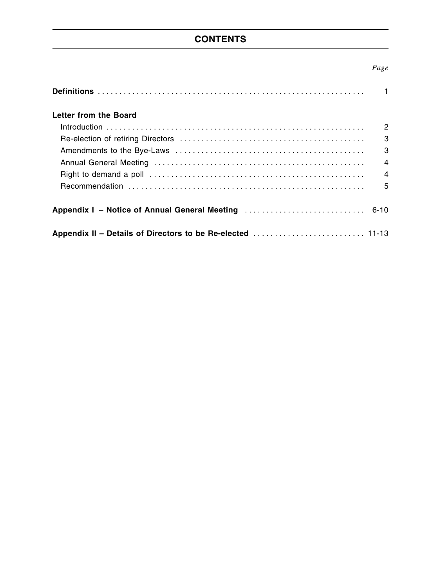## **CONTENTS**

## *Page*

| Letter from the Board |                |
|-----------------------|----------------|
|                       | $\overline{2}$ |
|                       | 3              |
|                       | 3              |
|                       | $\overline{4}$ |
|                       | $\overline{4}$ |
|                       | 5              |
|                       |                |
|                       |                |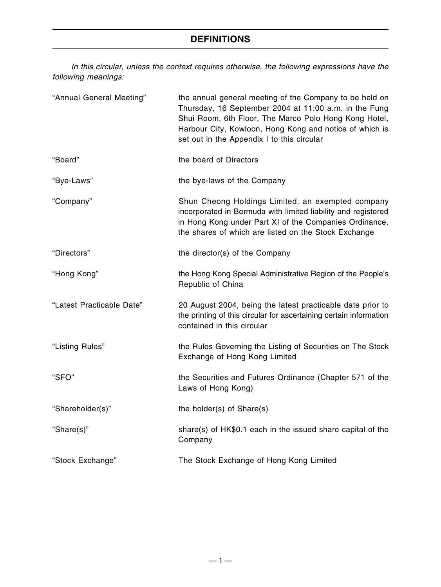In this circular, unless the context requires otherwise, the following expressions have the following meanings:

| "Annual General Meeting"  | the annual general meeting of the Company to be held on<br>Thursday, 16 September 2004 at 11:00 a.m. in the Fung<br>Shui Room, 6th Floor, The Marco Polo Hong Kong Hotel,<br>Harbour City, Kowloon, Hong Kong and notice of which is<br>set out in the Appendix I to this circular |
|---------------------------|------------------------------------------------------------------------------------------------------------------------------------------------------------------------------------------------------------------------------------------------------------------------------------|
| "Board"                   | the board of Directors                                                                                                                                                                                                                                                             |
| "Bye-Laws"                | the bye-laws of the Company                                                                                                                                                                                                                                                        |
| "Company"                 | Shun Cheong Holdings Limited, an exempted company<br>incorporated in Bermuda with limited liability and registered<br>in Hong Kong under Part XI of the Companies Ordinance,<br>the shares of which are listed on the Stock Exchange                                               |
| "Directors"               | the director(s) of the Company                                                                                                                                                                                                                                                     |
| "Hong Kong"               | the Hong Kong Special Administrative Region of the People's<br>Republic of China                                                                                                                                                                                                   |
| "Latest Practicable Date" | 20 August 2004, being the latest practicable date prior to<br>the printing of this circular for ascertaining certain information<br>contained in this circular                                                                                                                     |
| "Listing Rules"           | the Rules Governing the Listing of Securities on The Stock<br>Exchange of Hong Kong Limited                                                                                                                                                                                        |
| "SFO"                     | the Securities and Futures Ordinance (Chapter 571 of the<br>Laws of Hong Kong)                                                                                                                                                                                                     |
| "Shareholder(s)"          | the holder(s) of Share(s)                                                                                                                                                                                                                                                          |
| "Share(s)"                | share(s) of HK\$0.1 each in the issued share capital of the<br>Company                                                                                                                                                                                                             |
| "Stock Exchange"          | The Stock Exchange of Hong Kong Limited                                                                                                                                                                                                                                            |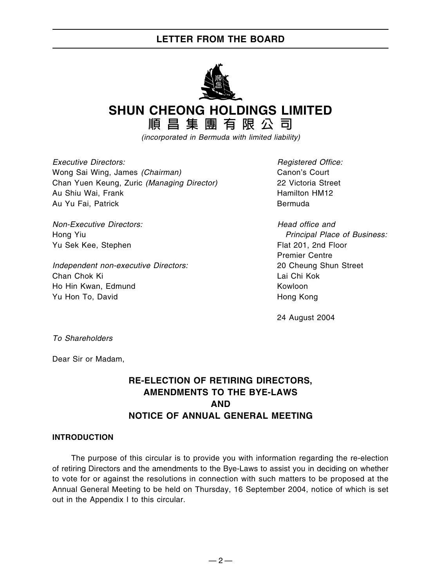## **LETTER FROM THE BOARD**



**SHUN CHEONG HOLDINGS LIMITED**

**順昌集團有限公司**

(incorporated in Bermuda with limited liability)

Executive Directors: The Contractors of the Contractors of the Registered Office: Wong Sai Wing, James (Chairman) Canon's Court Chan Yuen Keung, Zuric (Managing Director) 22 Victoria Street Au Shiu Wai, Frank **Hamilton HM12 Hamilton HM12** Au Yu Fai, Patrick Bermuda

Non-Executive Directors: Non-Executive Directors: Non-Executive Directors: Non-Yu Sek Kee, Stephen Flat 201, 2nd Floor

Independent non-executive Directors: 20 Cheung Shun Street Chan Chok Ki Lai Chi Kok Ho Hin Kwan, Edmund Kowloon Yu Hon To, David **Hong Kong** 

Hong Yiu **Principal Place of Business:** Principal Place of Business: Premier Centre

24 August 2004

To Shareholders

Dear Sir or Madam,

## **RE-ELECTION OF RETIRING DIRECTORS, AMENDMENTS TO THE BYE-LAWS AND NOTICE OF ANNUAL GENERAL MEETING**

### **INTRODUCTION**

The purpose of this circular is to provide you with information regarding the re-election of retiring Directors and the amendments to the Bye-Laws to assist you in deciding on whether to vote for or against the resolutions in connection with such matters to be proposed at the Annual General Meeting to be held on Thursday, 16 September 2004, notice of which is set out in the Appendix I to this circular.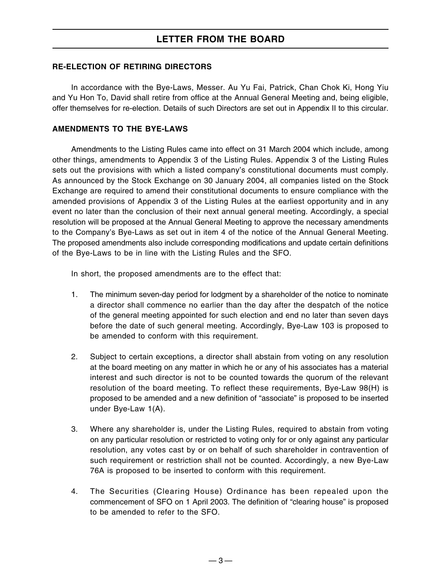## **LETTER FROM THE BOARD**

### **RE-ELECTION OF RETIRING DIRECTORS**

In accordance with the Bye-Laws, Messer. Au Yu Fai, Patrick, Chan Chok Ki, Hong Yiu and Yu Hon To, David shall retire from office at the Annual General Meeting and, being eligible, offer themselves for re-election. Details of such Directors are set out in Appendix II to this circular.

### **AMENDMENTS TO THE BYE-LAWS**

Amendments to the Listing Rules came into effect on 31 March 2004 which include, among other things, amendments to Appendix 3 of the Listing Rules. Appendix 3 of the Listing Rules sets out the provisions with which a listed company's constitutional documents must comply. As announced by the Stock Exchange on 30 January 2004, all companies listed on the Stock Exchange are required to amend their constitutional documents to ensure compliance with the amended provisions of Appendix 3 of the Listing Rules at the earliest opportunity and in any event no later than the conclusion of their next annual general meeting. Accordingly, a special resolution will be proposed at the Annual General Meeting to approve the necessary amendments to the Company's Bye-Laws as set out in item 4 of the notice of the Annual General Meeting. The proposed amendments also include corresponding modifications and update certain definitions of the Bye-Laws to be in line with the Listing Rules and the SFO.

In short, the proposed amendments are to the effect that:

- 1. The minimum seven-day period for lodgment by a shareholder of the notice to nominate a director shall commence no earlier than the day after the despatch of the notice of the general meeting appointed for such election and end no later than seven days before the date of such general meeting. Accordingly, Bye-Law 103 is proposed to be amended to conform with this requirement.
- 2. Subject to certain exceptions, a director shall abstain from voting on any resolution at the board meeting on any matter in which he or any of his associates has a material interest and such director is not to be counted towards the quorum of the relevant resolution of the board meeting. To reflect these requirements, Bye-Law 98(H) is proposed to be amended and a new definition of "associate" is proposed to be inserted under Bye-Law 1(A).
- 3. Where any shareholder is, under the Listing Rules, required to abstain from voting on any particular resolution or restricted to voting only for or only against any particular resolution, any votes cast by or on behalf of such shareholder in contravention of such requirement or restriction shall not be counted. Accordingly, a new Bye-Law 76A is proposed to be inserted to conform with this requirement.
- 4. The Securities (Clearing House) Ordinance has been repealed upon the commencement of SFO on 1 April 2003. The definition of "clearing house" is proposed to be amended to refer to the SFO.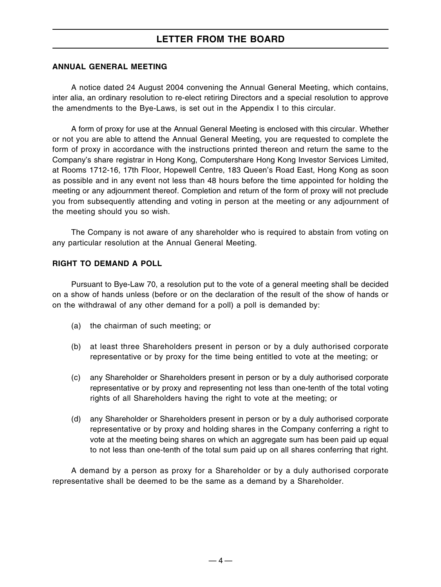## **LETTER FROM THE BOARD**

### **ANNUAL GENERAL MEETING**

A notice dated 24 August 2004 convening the Annual General Meeting, which contains, inter alia, an ordinary resolution to re-elect retiring Directors and a special resolution to approve the amendments to the Bye-Laws, is set out in the Appendix I to this circular.

A form of proxy for use at the Annual General Meeting is enclosed with this circular. Whether or not you are able to attend the Annual General Meeting, you are requested to complete the form of proxy in accordance with the instructions printed thereon and return the same to the Company's share registrar in Hong Kong, Computershare Hong Kong Investor Services Limited, at Rooms 1712-16, 17th Floor, Hopewell Centre, 183 Queen's Road East, Hong Kong as soon as possible and in any event not less than 48 hours before the time appointed for holding the meeting or any adjournment thereof. Completion and return of the form of proxy will not preclude you from subsequently attending and voting in person at the meeting or any adjournment of the meeting should you so wish.

The Company is not aware of any shareholder who is required to abstain from voting on any particular resolution at the Annual General Meeting.

### **RIGHT TO DEMAND A POLL**

Pursuant to Bye-Law 70, a resolution put to the vote of a general meeting shall be decided on a show of hands unless (before or on the declaration of the result of the show of hands or on the withdrawal of any other demand for a poll) a poll is demanded by:

- (a) the chairman of such meeting; or
- (b) at least three Shareholders present in person or by a duly authorised corporate representative or by proxy for the time being entitled to vote at the meeting; or
- (c) any Shareholder or Shareholders present in person or by a duly authorised corporate representative or by proxy and representing not less than one-tenth of the total voting rights of all Shareholders having the right to vote at the meeting; or
- (d) any Shareholder or Shareholders present in person or by a duly authorised corporate representative or by proxy and holding shares in the Company conferring a right to vote at the meeting being shares on which an aggregate sum has been paid up equal to not less than one-tenth of the total sum paid up on all shares conferring that right.

A demand by a person as proxy for a Shareholder or by a duly authorised corporate representative shall be deemed to be the same as a demand by a Shareholder.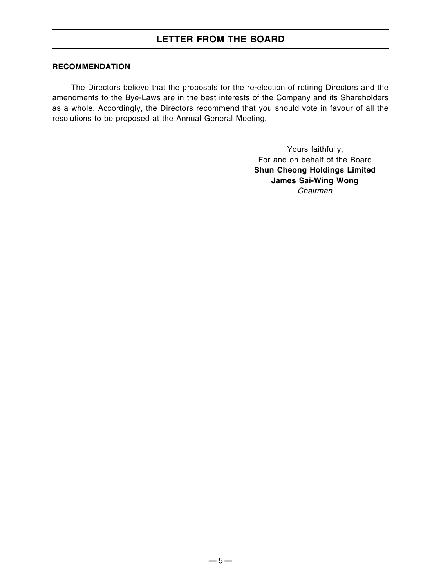## **RECOMMENDATION**

The Directors believe that the proposals for the re-election of retiring Directors and the amendments to the Bye-Laws are in the best interests of the Company and its Shareholders as a whole. Accordingly, the Directors recommend that you should vote in favour of all the resolutions to be proposed at the Annual General Meeting.

> Yours faithfully, For and on behalf of the Board **Shun Cheong Holdings Limited James Sai-Wing Wong** Chairman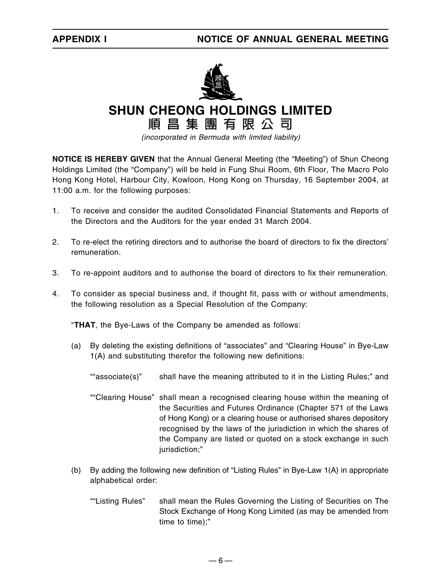

**SHUN CHEONG HOLDINGS LIMITED**

**順昌集團有限公司**

(incorporated in Bermuda with limited liability)

**NOTICE IS HEREBY GIVEN** that the Annual General Meeting (the "Meeting") of Shun Cheong Holdings Limited (the "Company") will be held in Fung Shui Room, 6th Floor, The Macro Polo Hong Kong Hotel, Harbour City, Kowloon, Hong Kong on Thursday, 16 September 2004, at 11:00 a.m. for the following purposes:

- 1. To receive and consider the audited Consolidated Financial Statements and Reports of the Directors and the Auditors for the year ended 31 March 2004.
- 2. To re-elect the retiring directors and to authorise the board of directors to fix the directors' remuneration.
- 3. To re-appoint auditors and to authorise the board of directors to fix their remuneration.
- 4. To consider as special business and, if thought fit, pass with or without amendments, the following resolution as a Special Resolution of the Company:

"**THAT**, the Bye-Laws of the Company be amended as follows:

- (a) By deleting the existing definitions of "associates" and "Clearing House" in Bye-Law 1(A) and substituting therefor the following new definitions:
	- ""associate(s)" shall have the meaning attributed to it in the Listing Rules;" and
	- ""Clearing House" shall mean a recognised clearing house within the meaning of the Securities and Futures Ordinance (Chapter 571 of the Laws of Hong Kong) or a clearing house or authorised shares depository recognised by the laws of the jurisdiction in which the shares of the Company are listed or quoted on a stock exchange in such jurisdiction;"
- (b) By adding the following new definition of "Listing Rules" in Bye-Law 1(A) in appropriate alphabetical order:
	- ""Listing Rules" shall mean the Rules Governing the Listing of Securities on The Stock Exchange of Hong Kong Limited (as may be amended from time to time);"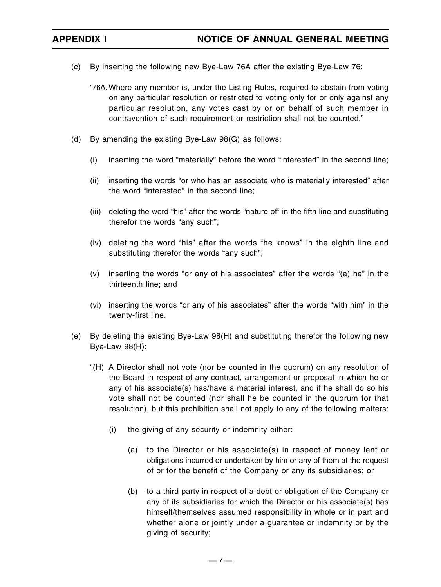- (c) By inserting the following new Bye-Law 76A after the existing Bye-Law 76:
	- "76A. Where any member is, under the Listing Rules, required to abstain from voting on any particular resolution or restricted to voting only for or only against any particular resolution, any votes cast by or on behalf of such member in contravention of such requirement or restriction shall not be counted."
- (d) By amending the existing Bye-Law 98(G) as follows:
	- (i) inserting the word "materially" before the word "interested" in the second line;
	- (ii) inserting the words "or who has an associate who is materially interested" after the word "interested" in the second line;
	- (iii) deleting the word "his" after the words "nature of" in the fifth line and substituting therefor the words "any such";
	- (iv) deleting the word "his" after the words "he knows" in the eighth line and substituting therefor the words "any such";
	- (v) inserting the words "or any of his associates" after the words "(a) he" in the thirteenth line; and
	- (vi) inserting the words "or any of his associates" after the words "with him" in the twenty-first line.
- (e) By deleting the existing Bye-Law 98(H) and substituting therefor the following new Bye-Law 98(H):
	- "(H) A Director shall not vote (nor be counted in the quorum) on any resolution of the Board in respect of any contract, arrangement or proposal in which he or any of his associate(s) has/have a material interest, and if he shall do so his vote shall not be counted (nor shall he be counted in the quorum for that resolution), but this prohibition shall not apply to any of the following matters:
		- (i) the giving of any security or indemnity either:
			- (a) to the Director or his associate(s) in respect of money lent or obligations incurred or undertaken by him or any of them at the request of or for the benefit of the Company or any its subsidiaries; or
			- (b) to a third party in respect of a debt or obligation of the Company or any of its subsidiaries for which the Director or his associate(s) has himself/themselves assumed responsibility in whole or in part and whether alone or jointly under a guarantee or indemnity or by the giving of security;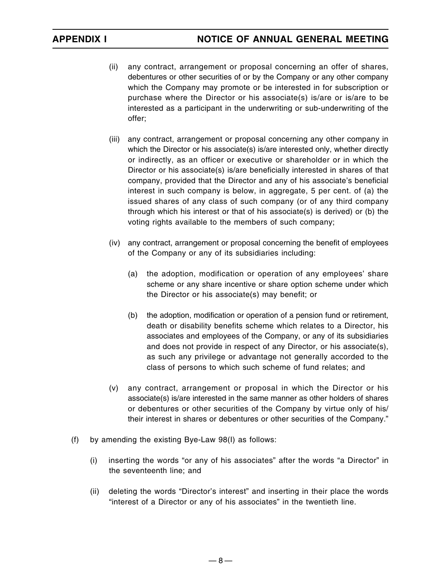- (ii) any contract, arrangement or proposal concerning an offer of shares, debentures or other securities of or by the Company or any other company which the Company may promote or be interested in for subscription or purchase where the Director or his associate(s) is/are or is/are to be interested as a participant in the underwriting or sub-underwriting of the offer;
- (iii) any contract, arrangement or proposal concerning any other company in which the Director or his associate(s) is/are interested only, whether directly or indirectly, as an officer or executive or shareholder or in which the Director or his associate(s) is/are beneficially interested in shares of that company, provided that the Director and any of his associate's beneficial interest in such company is below, in aggregate, 5 per cent. of (a) the issued shares of any class of such company (or of any third company through which his interest or that of his associate(s) is derived) or (b) the voting rights available to the members of such company;
- (iv) any contract, arrangement or proposal concerning the benefit of employees of the Company or any of its subsidiaries including:
	- (a) the adoption, modification or operation of any employees' share scheme or any share incentive or share option scheme under which the Director or his associate(s) may benefit; or
	- (b) the adoption, modification or operation of a pension fund or retirement, death or disability benefits scheme which relates to a Director, his associates and employees of the Company, or any of its subsidiaries and does not provide in respect of any Director, or his associate(s), as such any privilege or advantage not generally accorded to the class of persons to which such scheme of fund relates; and
- (v) any contract, arrangement or proposal in which the Director or his associate(s) is/are interested in the same manner as other holders of shares or debentures or other securities of the Company by virtue only of his/ their interest in shares or debentures or other securities of the Company."
- (f) by amending the existing Bye-Law 98(I) as follows:
	- (i) inserting the words "or any of his associates" after the words "a Director" in the seventeenth line; and
	- (ii) deleting the words "Director's interest" and inserting in their place the words "interest of a Director or any of his associates" in the twentieth line.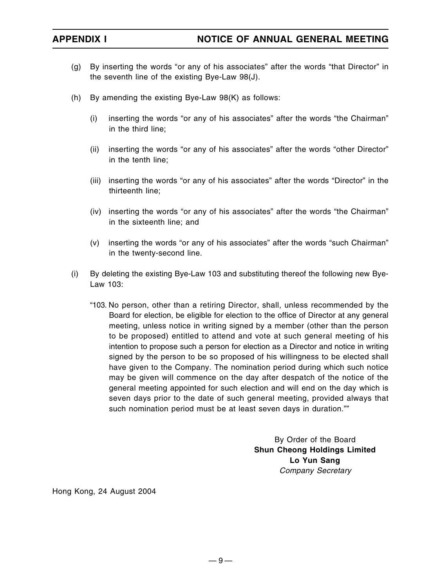- (g) By inserting the words "or any of his associates" after the words "that Director" in the seventh line of the existing Bye-Law 98(J).
- (h) By amending the existing Bye-Law 98(K) as follows:
	- (i) inserting the words "or any of his associates" after the words "the Chairman" in the third line;
	- (ii) inserting the words "or any of his associates" after the words "other Director" in the tenth line;
	- (iii) inserting the words "or any of his associates" after the words "Director" in the thirteenth line;
	- (iv) inserting the words "or any of his associates" after the words "the Chairman" in the sixteenth line; and
	- (v) inserting the words "or any of his associates" after the words "such Chairman" in the twenty-second line.
- (i) By deleting the existing Bye-Law 103 and substituting thereof the following new Bye-Law 103:
	- "103. No person, other than a retiring Director, shall, unless recommended by the Board for election, be eligible for election to the office of Director at any general meeting, unless notice in writing signed by a member (other than the person to be proposed) entitled to attend and vote at such general meeting of his intention to propose such a person for election as a Director and notice in writing signed by the person to be so proposed of his willingness to be elected shall have given to the Company. The nomination period during which such notice may be given will commence on the day after despatch of the notice of the general meeting appointed for such election and will end on the day which is seven days prior to the date of such general meeting, provided always that such nomination period must be at least seven days in duration.""

By Order of the Board **Shun Cheong Holdings Limited Lo Yun Sang** Company Secretary

Hong Kong, 24 August 2004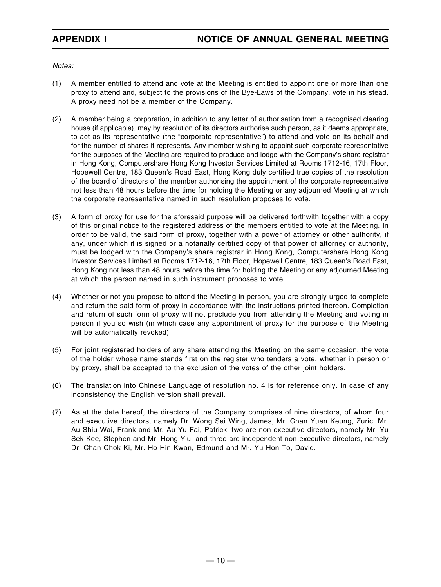Notes:

- (1) A member entitled to attend and vote at the Meeting is entitled to appoint one or more than one proxy to attend and, subject to the provisions of the Bye-Laws of the Company, vote in his stead. A proxy need not be a member of the Company.
- (2) A member being a corporation, in addition to any letter of authorisation from a recognised clearing house (if applicable), may by resolution of its directors authorise such person, as it deems appropriate, to act as its representative (the "corporate representative") to attend and vote on its behalf and for the number of shares it represents. Any member wishing to appoint such corporate representative for the purposes of the Meeting are required to produce and lodge with the Company's share registrar in Hong Kong, Computershare Hong Kong Investor Services Limited at Rooms 1712-16, 17th Floor, Hopewell Centre, 183 Queen's Road East, Hong Kong duly certified true copies of the resolution of the board of directors of the member authorising the appointment of the corporate representative not less than 48 hours before the time for holding the Meeting or any adjourned Meeting at which the corporate representative named in such resolution proposes to vote.
- (3) A form of proxy for use for the aforesaid purpose will be delivered forthwith together with a copy of this original notice to the registered address of the members entitled to vote at the Meeting. In order to be valid, the said form of proxy, together with a power of attorney or other authority, if any, under which it is signed or a notarially certified copy of that power of attorney or authority, must be lodged with the Company's share registrar in Hong Kong, Computershare Hong Kong Investor Services Limited at Rooms 1712-16, 17th Floor, Hopewell Centre, 183 Queen's Road East, Hong Kong not less than 48 hours before the time for holding the Meeting or any adjourned Meeting at which the person named in such instrument proposes to vote.
- (4) Whether or not you propose to attend the Meeting in person, you are strongly urged to complete and return the said form of proxy in accordance with the instructions printed thereon. Completion and return of such form of proxy will not preclude you from attending the Meeting and voting in person if you so wish (in which case any appointment of proxy for the purpose of the Meeting will be automatically revoked).
- (5) For joint registered holders of any share attending the Meeting on the same occasion, the vote of the holder whose name stands first on the register who tenders a vote, whether in person or by proxy, shall be accepted to the exclusion of the votes of the other joint holders.
- (6) The translation into Chinese Language of resolution no. 4 is for reference only. In case of any inconsistency the English version shall prevail.
- (7) As at the date hereof, the directors of the Company comprises of nine directors, of whom four and executive directors, namely Dr. Wong Sai Wing, James, Mr. Chan Yuen Keung, Zuric, Mr. Au Shiu Wai, Frank and Mr. Au Yu Fai, Patrick; two are non-executive directors, namely Mr. Yu Sek Kee, Stephen and Mr. Hong Yiu; and three are independent non-executive directors, namely Dr. Chan Chok Ki, Mr. Ho Hin Kwan, Edmund and Mr. Yu Hon To, David.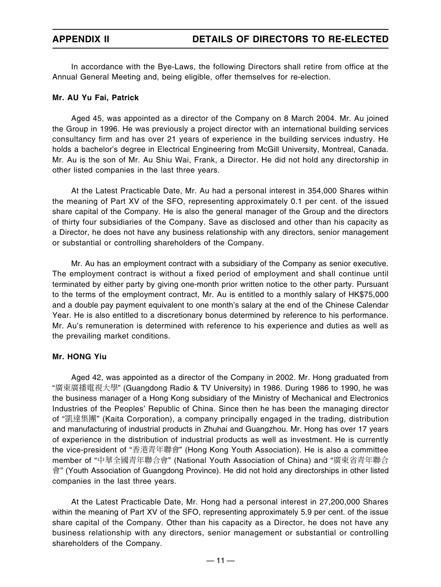In accordance with the Bye-Laws, the following Directors shall retire from office at the Annual General Meeting and, being eligible, offer themselves for re-election.

### **Mr. AU Yu Fai, Patrick**

Aged 45, was appointed as a director of the Company on 8 March 2004. Mr. Au joined the Group in 1996. He was previously a project director with an international building services consultancy firm and has over 21 years of experience in the building services industry. He holds a bachelor's degree in Electrical Engineering from McGill University, Montreal, Canada. Mr. Au is the son of Mr. Au Shiu Wai, Frank, a Director. He did not hold any directorship in other listed companies in the last three years.

At the Latest Practicable Date, Mr. Au had a personal interest in 354,000 Shares within the meaning of Part XV of the SFO, representing approximately 0.1 per cent. of the issued share capital of the Company. He is also the general manager of the Group and the directors of thirty four subsidiaries of the Company. Save as disclosed and other than his capacity as a Director, he does not have any business relationship with any directors, senior management or substantial or controlling shareholders of the Company.

Mr. Au has an employment contract with a subsidiary of the Company as senior executive. The employment contract is without a fixed period of employment and shall continue until terminated by either party by giving one-month prior written notice to the other party. Pursuant to the terms of the employment contract, Mr. Au is entitled to a monthly salary of HK\$75,000 and a double pay payment equivalent to one month's salary at the end of the Chinese Calendar Year. He is also entitled to a discretionary bonus determined by reference to his performance. Mr. Au's remuneration is determined with reference to his experience and duties as well as the prevailing market conditions.

### **Mr. HONG Yiu**

Aged 42, was appointed as a director of the Company in 2002. Mr. Hong graduated from "廣東廣播電視大學" (Guangdong Radio & TV University) in 1986. During 1986 to 1990, he was the business manager of a Hong Kong subsidiary of the Ministry of Mechanical and Electronics Industries of the Peoples' Republic of China. Since then he has been the managing director of "凱達集團" (Kaita Corporation), a company principally engaged in the trading, distribution and manufacturing of industrial products in Zhuhai and Guangzhou. Mr. Hong has over 17 years of experience in the distribution of industrial products as well as investment. He is currently the vice-president of "香港青年聯會" (Hong Kong Youth Association). He is also a committee member of "中華全國青年聯合會" (National Youth Association of China) and "廣東省青年聯合 會" (Youth Association of Guangdong Province). He did not hold any directorships in other listed companies in the last three years.

At the Latest Practicable Date, Mr. Hong had a personal interest in 27,200,000 Shares within the meaning of Part XV of the SFO, representing approximately 5.9 per cent. of the issue share capital of the Company. Other than his capacity as a Director, he does not have any business relationship with any directors, senior management or substantial or controlling shareholders of the Company.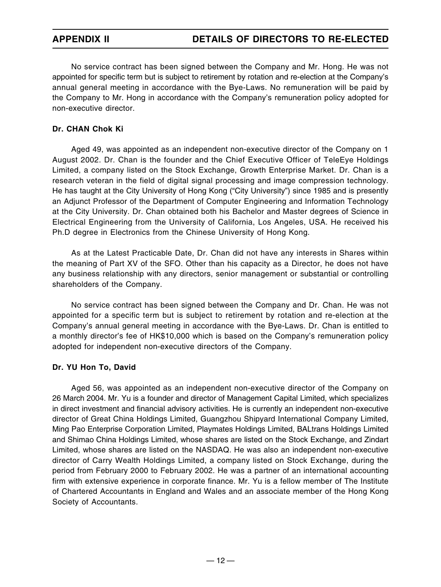No service contract has been signed between the Company and Mr. Hong. He was not appointed for specific term but is subject to retirement by rotation and re-election at the Company's annual general meeting in accordance with the Bye-Laws. No remuneration will be paid by the Company to Mr. Hong in accordance with the Company's remuneration policy adopted for non-executive director.

## **Dr. CHAN Chok Ki**

Aged 49, was appointed as an independent non-executive director of the Company on 1 August 2002. Dr. Chan is the founder and the Chief Executive Officer of TeleEye Holdings Limited, a company listed on the Stock Exchange, Growth Enterprise Market. Dr. Chan is a research veteran in the field of digital signal processing and image compression technology. He has taught at the City University of Hong Kong ("City University") since 1985 and is presently an Adjunct Professor of the Department of Computer Engineering and Information Technology at the City University. Dr. Chan obtained both his Bachelor and Master degrees of Science in Electrical Engineering from the University of California, Los Angeles, USA. He received his Ph.D degree in Electronics from the Chinese University of Hong Kong.

As at the Latest Practicable Date, Dr. Chan did not have any interests in Shares within the meaning of Part XV of the SFO. Other than his capacity as a Director, he does not have any business relationship with any directors, senior management or substantial or controlling shareholders of the Company.

No service contract has been signed between the Company and Dr. Chan. He was not appointed for a specific term but is subject to retirement by rotation and re-election at the Company's annual general meeting in accordance with the Bye-Laws. Dr. Chan is entitled to a monthly director's fee of HK\$10,000 which is based on the Company's remuneration policy adopted for independent non-executive directors of the Company.

### **Dr. YU Hon To, David**

Aged 56, was appointed as an independent non-executive director of the Company on 26 March 2004. Mr. Yu is a founder and director of Management Capital Limited, which specializes in direct investment and financial advisory activities. He is currently an independent non-executive director of Great China Holdings Limited, Guangzhou Shipyard International Company Limited, Ming Pao Enterprise Corporation Limited, Playmates Holdings Limited, BALtrans Holdings Limited and Shimao China Holdings Limited, whose shares are listed on the Stock Exchange, and Zindart Limited, whose shares are listed on the NASDAQ. He was also an independent non-executive director of Carry Wealth Holdings Limited, a company listed on Stock Exchange, during the period from February 2000 to February 2002. He was a partner of an international accounting firm with extensive experience in corporate finance. Mr. Yu is a fellow member of The Institute of Chartered Accountants in England and Wales and an associate member of the Hong Kong Society of Accountants.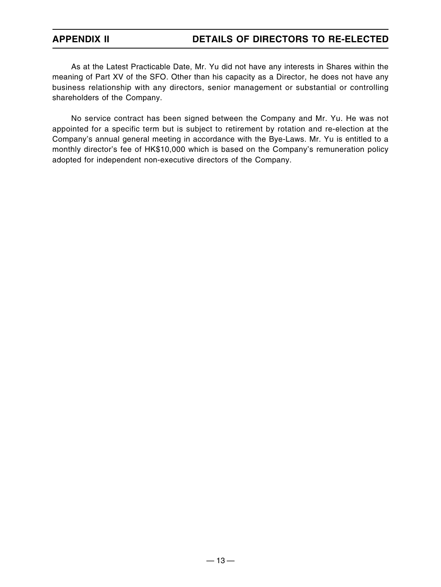## **APPENDIX II DETAILS OF DIRECTORS TO RE-ELECTED**

As at the Latest Practicable Date, Mr. Yu did not have any interests in Shares within the meaning of Part XV of the SFO. Other than his capacity as a Director, he does not have any business relationship with any directors, senior management or substantial or controlling shareholders of the Company.

No service contract has been signed between the Company and Mr. Yu. He was not appointed for a specific term but is subject to retirement by rotation and re-election at the Company's annual general meeting in accordance with the Bye-Laws. Mr. Yu is entitled to a monthly director's fee of HK\$10,000 which is based on the Company's remuneration policy adopted for independent non-executive directors of the Company.